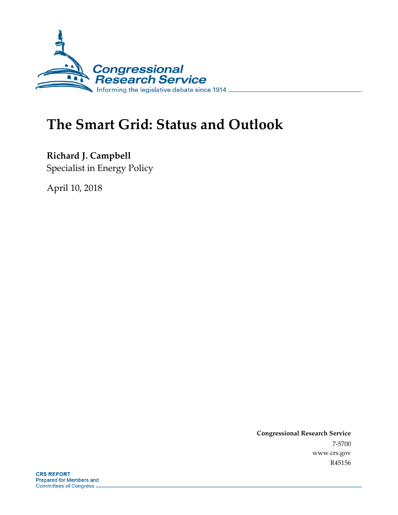

# **The Smart Grid: Status and Outlook**

**Richard J. Campbell** Specialist in Energy Policy

April 10, 2018

**Congressional Research Service** 7-5700 www.crs.gov R45156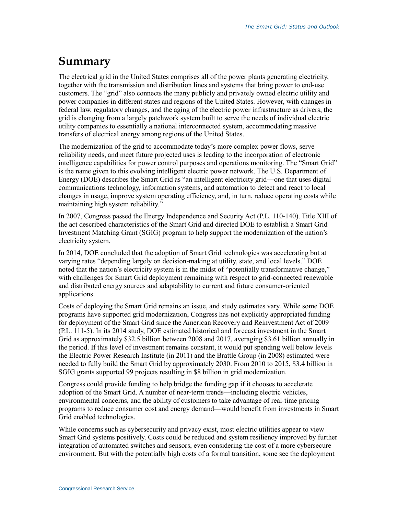# **Summary**

The electrical grid in the United States comprises all of the power plants generating electricity, together with the transmission and distribution lines and systems that bring power to end-use customers. The "grid" also connects the many publicly and privately owned electric utility and power companies in different states and regions of the United States. However, with changes in federal law, regulatory changes, and the aging of the electric power infrastructure as drivers, the grid is changing from a largely patchwork system built to serve the needs of individual electric utility companies to essentially a national interconnected system, accommodating massive transfers of electrical energy among regions of the United States.

The modernization of the grid to accommodate today's more complex power flows, serve reliability needs, and meet future projected uses is leading to the incorporation of electronic intelligence capabilities for power control purposes and operations monitoring. The "Smart Grid" is the name given to this evolving intelligent electric power network. The U.S. Department of Energy (DOE) describes the Smart Grid as "an intelligent electricity grid—one that uses digital communications technology, information systems, and automation to detect and react to local changes in usage, improve system operating efficiency, and, in turn, reduce operating costs while maintaining high system reliability."

In 2007, Congress passed the Energy Independence and Security Act (P.L. 110-140). Title XIII of the act described characteristics of the Smart Grid and directed DOE to establish a Smart Grid Investment Matching Grant (SGIG) program to help support the modernization of the nation's electricity system.

In 2014, DOE concluded that the adoption of Smart Grid technologies was accelerating but at varying rates "depending largely on decision-making at utility, state, and local levels." DOE noted that the nation's electricity system is in the midst of "potentially transformative change," with challenges for Smart Grid deployment remaining with respect to grid-connected renewable and distributed energy sources and adaptability to current and future consumer-oriented applications.

Costs of deploying the Smart Grid remains an issue, and study estimates vary. While some DOE programs have supported grid modernization, Congress has not explicitly appropriated funding for deployment of the Smart Grid since the American Recovery and Reinvestment Act of 2009 (P.L. 111-5). In its 2014 study, DOE estimated historical and forecast investment in the Smart Grid as approximately \$32.5 billion between 2008 and 2017, averaging \$3.61 billion annually in the period. If this level of investment remains constant, it would put spending well below levels the Electric Power Research Institute (in 2011) and the Brattle Group (in 2008) estimated were needed to fully build the Smart Grid by approximately 2030. From 2010 to 2015, \$3.4 billion in SGIG grants supported 99 projects resulting in \$8 billion in grid modernization.

Congress could provide funding to help bridge the funding gap if it chooses to accelerate adoption of the Smart Grid. A number of near-term trends—including electric vehicles, environmental concerns, and the ability of customers to take advantage of real-time pricing programs to reduce consumer cost and energy demand—would benefit from investments in Smart Grid enabled technologies.

While concerns such as cybersecurity and privacy exist, most electric utilities appear to view Smart Grid systems positively. Costs could be reduced and system resiliency improved by further integration of automated switches and sensors, even considering the cost of a more cybersecure environment. But with the potentially high costs of a formal transition, some see the deployment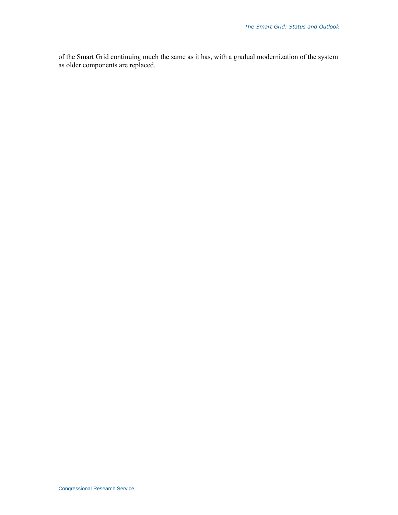of the Smart Grid continuing much the same as it has, with a gradual modernization of the system as older components are replaced.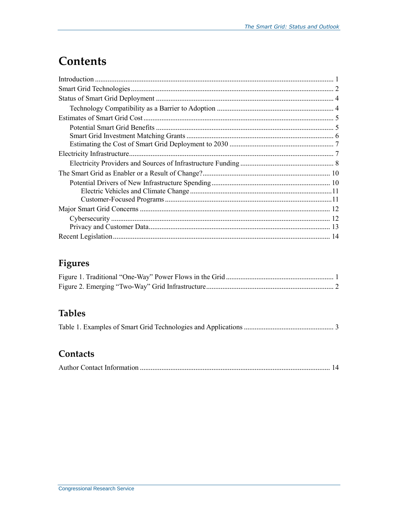# **Contents**

### Figures

### **Tables**

|--|--|--|--|

#### Contacts

|--|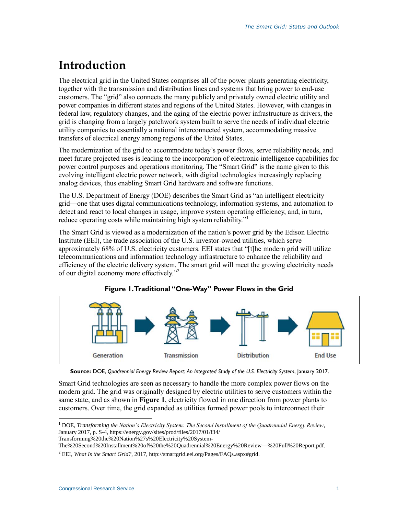# **Introduction**

The electrical grid in the United States comprises all of the power plants generating electricity, together with the transmission and distribution lines and systems that bring power to end-use customers. The "grid" also connects the many publicly and privately owned electric utility and power companies in different states and regions of the United States. However, with changes in federal law, regulatory changes, and the aging of the electric power infrastructure as drivers, the grid is changing from a largely patchwork system built to serve the needs of individual electric utility companies to essentially a national interconnected system, accommodating massive transfers of electrical energy among regions of the United States.

The modernization of the grid to accommodate today's power flows, serve reliability needs, and meet future projected uses is leading to the incorporation of electronic intelligence capabilities for power control purposes and operations monitoring. The "Smart Grid" is the name given to this evolving intelligent electric power network, with digital technologies increasingly replacing analog devices, thus enabling Smart Grid hardware and software functions.

The U.S. Department of Energy (DOE) describes the Smart Grid as "an intelligent electricity grid—one that uses digital communications technology, information systems, and automation to detect and react to local changes in usage, improve system operating efficiency, and, in turn, reduce operating costs while maintaining high system reliability."<sup>1</sup>

The Smart Grid is viewed as a modernization of the nation's power grid by the Edison Electric Institute (EEI), the trade association of the U.S. investor-owned utilities, which serve approximately 68% of U.S. electricity customers. EEI states that "[t]he modern grid will utilize telecommunications and information technology infrastructure to enhance the reliability and efficiency of the electric delivery system. The smart grid will meet the growing electricity needs of our digital economy more effectively."<sup>2</sup>

<span id="page-4-0"></span>



**Source:** DOE, *Quadrennial Energy Review Report: An Integrated Study of the U.S. Electricity System*, January 2017.

Smart Grid technologies are seen as necessary to handle the more complex power flows on the modern grid. The grid was originally designed by electric utilities to serve customers within the same state, and as shown in **[Figure 1](#page-4-0)**, electricity flowed in one direction from power plants to customers. Over time, the grid expanded as utilities formed power pools to interconnect their

Transforming%20the%20Nation%27s%20Electricity%20System-

<sup>1</sup> DOE, *Transforming the Nation's Electricity System: The Second Installment of the Quadrennial Energy Review*, January 2017, p. S-4, https://energy.gov/sites/prod/files/2017/01/f34/

The%20Second%20Installment%20of%20the%20Quadrennial%20Energy%20Review—%20Full%20Report.pdf.

<sup>2</sup> EEI, *What Is the Smart Grid?*, 2017, http://smartgrid.eei.org/Pages/FAQs.aspx#grid.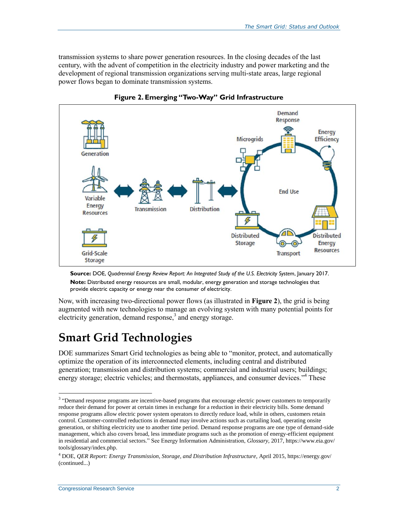transmission systems to share power generation resources. In the closing decades of the last century, with the advent of competition in the electricity industry and power marketing and the development of regional transmission organizations serving multi-state areas, large regional power flows began to dominate transmission systems.

<span id="page-5-0"></span>



**Source:** DOE, *Quadrennial Energy Review Report: An Integrated Study of the U.S. Electricity System*, January 2017. **Note:** Distributed energy resources are small, modular, energy generation and storage technologies that provide electric capacity or energy near the consumer of electricity.

Now, with increasing two-directional power flows (as illustrated in **[Figure 2](#page-5-0)**), the grid is being augmented with new technologies to manage an evolving system with many potential points for electricity generation, demand response, $3$  and energy storage.

## **Smart Grid Technologies**

DOE summarizes Smart Grid technologies as being able to "monitor, protect, and automatically optimize the operation of its interconnected elements, including central and distributed generation; transmission and distribution systems; commercial and industrial users; buildings; energy storage; electric vehicles; and thermostats, appliances, and consumer devices."<sup>4</sup> These

<sup>&</sup>lt;sup>3</sup> "Demand response programs are incentive-based programs that encourage electric power customers to temporarily reduce their demand for power at certain times in exchange for a reduction in their electricity bills. Some demand response programs allow electric power system operators to directly reduce load, while in others, customers retain control. Customer-controlled reductions in demand may involve actions such as curtailing load, operating onsite generation, or shifting electricity use to another time period. Demand response programs are one type of demand-side management, which also covers broad, less immediate programs such as the promotion of energy-efficient equipment in residential and commercial sectors." See Energy Information Administration, *Glossary*, 2017, https://www.eia.gov/ tools/glossary/index.php.

<sup>4</sup> DOE, *QER Report: Energy Transmission, Storage, and Distribution Infrastructure*, April 2015, https://energy.gov/ (continued...)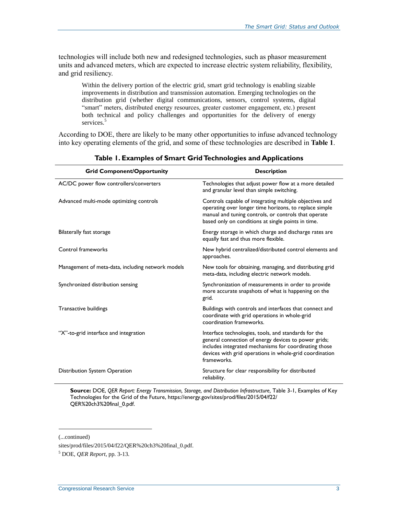technologies will include both new and redesigned technologies, such as phasor measurement units and advanced meters, which are expected to increase electric system reliability, flexibility, and grid resiliency.

Within the delivery portion of the electric grid, smart grid technology is enabling sizable improvements in distribution and transmission automation. Emerging technologies on the distribution grid (whether digital communications, sensors, control systems, digital "smart" meters, distributed energy resources, greater customer engagement, etc.) present both technical and policy challenges and opportunities for the delivery of energy services.<sup>5</sup>

According to DOE, there are likely to be many other opportunities to infuse advanced technology into key operating elements of the grid, and some of these technologies are described in **[Table 1](#page-6-0)**.

<span id="page-6-0"></span>

| <b>Grid Component/Opportunity</b>                 | <b>Description</b>                                                                                                                                                                                                                              |
|---------------------------------------------------|-------------------------------------------------------------------------------------------------------------------------------------------------------------------------------------------------------------------------------------------------|
| AC/DC power flow controllers/converters           | Technologies that adjust power flow at a more detailed<br>and granular level than simple switching.                                                                                                                                             |
| Advanced multi-mode optimizing controls           | Controls capable of integrating multiple objectives and<br>operating over longer time horizons, to replace simple<br>manual and tuning controls, or controls that operate<br>based only on conditions at single points in time.                 |
| Bilaterally fast storage                          | Energy storage in which charge and discharge rates are<br>equally fast and thus more flexible.                                                                                                                                                  |
| Control frameworks                                | New hybrid centralized/distributed control elements and<br>approaches.                                                                                                                                                                          |
| Management of meta-data, including network models | New tools for obtaining, managing, and distributing grid<br>meta-data, including electric network models.                                                                                                                                       |
| Synchronized distribution sensing                 | Synchronization of measurements in order to provide<br>more accurate snapshots of what is happening on the<br>grid.                                                                                                                             |
| Transactive buildings                             | Buildings with controls and interfaces that connect and<br>coordinate with grid operations in whole-grid<br>coordination frameworks.                                                                                                            |
| "X"-to-grid interface and integration             | Interface technologies, tools, and standards for the<br>general connection of energy devices to power grids;<br>includes integrated mechanisms for coordinating those<br>devices with grid operations in whole-grid coordination<br>frameworks. |
| Distribution System Operation                     | Structure for clear responsibility for distributed<br>reliability.                                                                                                                                                                              |

#### **Table 1. Examples of Smart Grid Technologies and Applications**

**Source:** DOE, *QER Report: Energy Transmission, Storage, and Distribution Infrastructure,* Table 3-1, Examples of Key Technologies for the Grid of the Future, https://energy.gov/sites/prod/files/2015/04/f22/ QER%20ch3%20final\_0.pdf.

l

<sup>(...</sup>continued)

sites/prod/files/2015/04/f22/QER%20ch3%20final\_0.pdf.

<sup>5</sup> DOE, *QER Report*, pp. 3-13.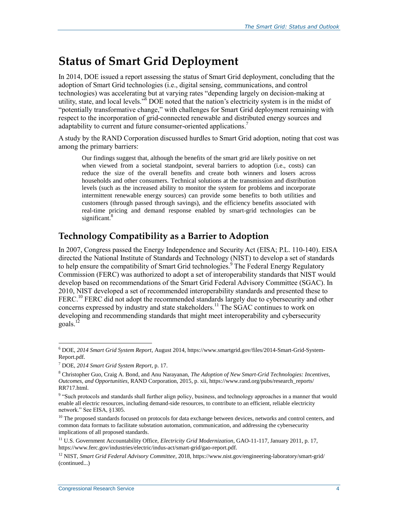# **Status of Smart Grid Deployment**

In 2014, DOE issued a report assessing the status of Smart Grid deployment, concluding that the adoption of Smart Grid technologies (i.e., digital sensing, communications, and control technologies) was accelerating but at varying rates "depending largely on decision-making at utility, state, and local levels."<sup>6</sup> DOE noted that the nation's electricity system is in the midst of "potentially transformative change," with challenges for Smart Grid deployment remaining with respect to the incorporation of grid-connected renewable and distributed energy sources and adaptability to current and future consumer-oriented applications.<sup>7</sup>

A study by the RAND Corporation discussed hurdles to Smart Grid adoption, noting that cost was among the primary barriers:

Our findings suggest that, although the benefits of the smart grid are likely positive on net when viewed from a societal standpoint, several barriers to adoption (i.e., costs) can reduce the size of the overall benefits and create both winners and losers across households and other consumers. Technical solutions at the transmission and distribution levels (such as the increased ability to monitor the system for problems and incorporate intermittent renewable energy sources) can provide some benefits to both utilities and customers (through passed through savings), and the efficiency benefits associated with real-time pricing and demand response enabled by smart-grid technologies can be significant.<sup>8</sup>

#### **Technology Compatibility as a Barrier to Adoption**

In 2007, Congress passed the Energy Independence and Security Act (EISA; [P.L. 110-140\)](http://www.congress.gov/cgi-lis/bdquery/R?d110:FLD002:@1(110+140)). EISA directed the National Institute of Standards and Technology (NIST) to develop a set of standards to help ensure the compatibility of Smart Grid technologies.<sup>9</sup> The Federal Energy Regulatory Commission (FERC) was authorized to adopt a set of interoperability standards that NIST would develop based on recommendations of the Smart Grid Federal Advisory Committee (SGAC). In 2010, NIST developed a set of recommended interoperability standards and presented these to FERC.<sup>10</sup> FERC did not adopt the recommended standards largely due to cybersecurity and other concerns expressed by industry and state stakeholders.<sup>11</sup> The SGAC continues to work on developing and recommending standards that might meet interoperability and cybersecurity goals.<sup>12</sup>

<sup>6</sup> DOE, *2014 Smart Grid System Report*, August 2014, https://www.smartgrid.gov/files/2014-Smart-Grid-System-Report.pdf.

<sup>7</sup> DOE, *2014 Smart Grid System Report*, p. 17.

<sup>8</sup> Christopher Guo, Craig A. Bond, and Anu Narayanan, *The Adoption of New Smart-Grid Technologies: Incentives, Outcomes, and Opportunities*, RAND Corporation, 2015, p. xii, https://www.rand.org/pubs/research\_reports/ RR717.html.

<sup>&</sup>lt;sup>9</sup> "Such protocols and standards shall further align policy, business, and technology approaches in a manner that would enable all electric resources, including demand-side resources, to contribute to an efficient, reliable electricity network." See EISA, §1305.

<sup>&</sup>lt;sup>10</sup> The proposed standards focused on protocols for data exchange between devices, networks and control centers, and common data formats to facilitate substation automation, communication, and addressing the cybersecurity implications of all proposed standards.

<sup>11</sup> U.S. Government Accountability Office, *Electricity Grid Modernization*, GAO-11-117, January 2011, p. 17, https://www.ferc.gov/industries/electric/indus-act/smart-grid/gao-report.pdf.

<sup>12</sup> NIST, *Smart Grid Federal Advisory Committee*, 2018, https://www.nist.gov/engineering-laboratory/smart-grid/ (continued...)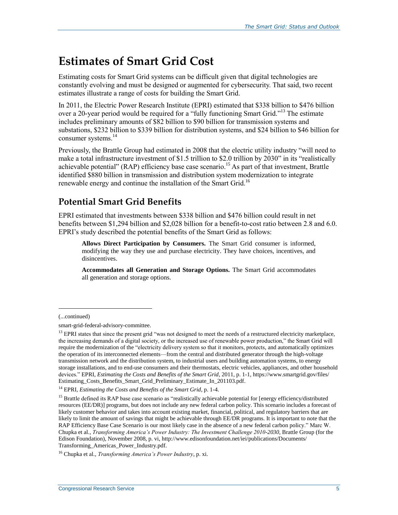# **Estimates of Smart Grid Cost**

Estimating costs for Smart Grid systems can be difficult given that digital technologies are constantly evolving and must be designed or augmented for cybersecurity. That said, two recent estimates illustrate a range of costs for building the Smart Grid.

In 2011, the Electric Power Research Institute (EPRI) estimated that \$338 billion to \$476 billion over a 20-year period would be required for a "fully functioning Smart Grid."<sup>13</sup> The estimate includes preliminary amounts of \$82 billion to \$90 billion for transmission systems and substations, \$232 billion to \$339 billion for distribution systems, and \$24 billion to \$46 billion for consumer systems. 14

Previously, the Brattle Group had estimated in 2008 that the electric utility industry "will need to make a total infrastructure investment of \$1.5 trillion to \$2.0 trillion by 2030" in its "realistically achievable potential" (RAP) efficiency base case scenario.<sup>15</sup> As part of that investment, Brattle identified \$880 billion in transmission and distribution system modernization to integrate renewable energy and continue the installation of the Smart Grid.<sup>16</sup>

### **Potential Smart Grid Benefits**

EPRI estimated that investments between \$338 billion and \$476 billion could result in net benefits between \$1,294 billion and \$2,028 billion for a benefit-to-cost ratio between 2.8 and 6.0. EPRI's study described the potential benefits of the Smart Grid as follows:

**Allows Direct Participation by Consumers.** The Smart Grid consumer is informed, modifying the way they use and purchase electricity. They have choices, incentives, and disincentives.

**Accommodates all Generation and Storage Options.** The Smart Grid accommodates all generation and storage options.

<sup>(...</sup>continued)

smart-grid-federal-advisory-committee.

<sup>&</sup>lt;sup>13</sup> EPRI states that since the present grid "was not designed to meet the needs of a restructured electricity marketplace, the increasing demands of a digital society, or the increased use of renewable power production," the Smart Grid will require the modernization of the "electricity delivery system so that it monitors, protects, and automatically optimizes the operation of its interconnected elements—from the central and distributed generator through the high-voltage transmission network and the distribution system, to industrial users and building automation systems, to energy storage installations, and to end-use consumers and their thermostats, electric vehicles, appliances, and other household devices." EPRI, *Estimating the Costs and Benefits of the Smart Grid*, 2011, p. 1-1, https://www.smartgrid.gov/files/ Estimating Costs Benefits Smart Grid Preliminary Estimate In 201103.pdf.

<sup>14</sup> EPRI, *Estimating the Costs and Benefits of the Smart Grid*, p. 1-4.

<sup>&</sup>lt;sup>15</sup> Brattle defined its RAP base case scenario as "realistically achievable potential for [energy efficiency/distributed resources (EE/DR)] programs, but does not include any new federal carbon policy. This scenario includes a forecast of likely customer behavior and takes into account existing market, financial, political, and regulatory barriers that are likely to limit the amount of savings that might be achievable through EE/DR programs. It is important to note that the RAP Efficiency Base Case Scenario is our most likely case in the absence of a new federal carbon policy." Marc W. Chupka et al., *Transforming America's Power Industry: The Investment Challenge 2010-2030*, Brattle Group (for the Edison Foundation), November 2008, p. vi, http://www.edisonfoundation.net/iei/publications/Documents/ Transforming\_Americas\_Power\_Industry.pdf.

<sup>16</sup> Chupka et al., *Transforming America's Power Industry*, p. xi.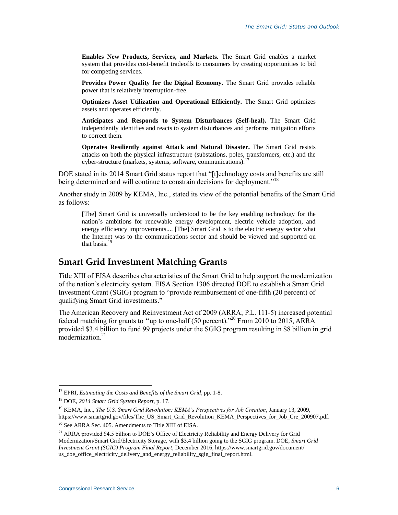**Enables New Products, Services, and Markets.** The Smart Grid enables a market system that provides cost-benefit tradeoffs to consumers by creating opportunities to bid for competing services.

**Provides Power Quality for the Digital Economy.** The Smart Grid provides reliable power that is relatively interruption-free.

**Optimizes Asset Utilization and Operational Efficiently.** The Smart Grid optimizes assets and operates efficiently.

**Anticipates and Responds to System Disturbances (Self-heal).** The Smart Grid independently identifies and reacts to system disturbances and performs mitigation efforts to correct them.

**Operates Resiliently against Attack and Natural Disaster.** The Smart Grid resists attacks on both the physical infrastructure (substations, poles, transformers, etc.) and the cyber-structure (markets, systems, software, communications).<sup>1</sup>

DOE stated in its 2014 Smart Grid status report that "[t]echnology costs and benefits are still being determined and will continue to constrain decisions for deployment."<sup>18</sup>

Another study in 2009 by KEMA, Inc., stated its view of the potential benefits of the Smart Grid as follows:

[The] Smart Grid is universally understood to be the key enabling technology for the nation's ambitions for renewable energy development, electric vehicle adoption, and energy efficiency improvements.... [The] Smart Grid is to the electric energy sector what the Internet was to the communications sector and should be viewed and supported on that basis.<sup>19</sup>

#### **Smart Grid Investment Matching Grants**

Title XIII of EISA describes characteristics of the Smart Grid to help support the modernization of the nation's electricity system. EISA Section 1306 directed DOE to establish a Smart Grid Investment Grant (SGIG) program to "provide reimbursement of one-fifth (20 percent) of qualifying Smart Grid investments."

The American Recovery and Reinvestment Act of 2009 (ARRA; P.L. 111-5) increased potential federal matching for grants to "up to one-half  $(50 \text{ percent})$ ."<sup>20</sup> From 2010 to 2015, ARRA provided \$3.4 billion to fund 99 projects under the SGIG program resulting in \$8 billion in grid modernization. $21$ 

<sup>17</sup> EPRI, *Estimating the Costs and Benefits of the Smart Grid*, pp. 1-8.

<sup>18</sup> DOE, *2014 Smart Grid System Report*, p. 17.

<sup>19</sup> KEMA, Inc., *The U.S. Smart Grid Revolution: KEMA's Perspectives for Job Creation*, January 13, 2009, https://www.smartgrid.gov/files/The\_US\_Smart\_Grid\_Revolution\_KEMA\_Perspectives\_for\_Job\_Cre\_200907.pdf.

<sup>&</sup>lt;sup>20</sup> See ARRA Sec. 405. Amendments to Title XIII of EISA.

<sup>&</sup>lt;sup>21</sup> ARRA provided \$4.5 billion to DOE's Office of Electricity Reliability and Energy Delivery for Grid Modernization/Smart Grid/Electricity Storage, with \$3.4 billion going to the SGIG program. DOE, *Smart Grid Investment Grant (SGIG) Program Final Report*, December 2016, https://www.smartgrid.gov/document/ us\_doe\_office\_electricity\_delivery\_and\_energy\_reliability\_sgig\_final\_report.html.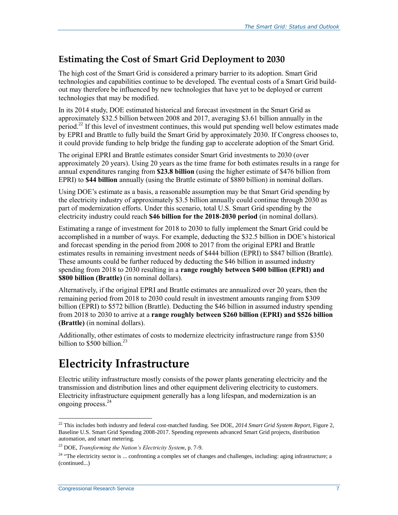#### **Estimating the Cost of Smart Grid Deployment to 2030**

The high cost of the Smart Grid is considered a primary barrier to its adoption. Smart Grid technologies and capabilities continue to be developed. The eventual costs of a Smart Grid buildout may therefore be influenced by new technologies that have yet to be deployed or current technologies that may be modified.

In its 2014 study, DOE estimated historical and forecast investment in the Smart Grid as approximately \$32.5 billion between 2008 and 2017, averaging \$3.61 billion annually in the period.<sup>22</sup> If this level of investment continues, this would put spending well below estimates made by EPRI and Brattle to fully build the Smart Grid by approximately 2030. If Congress chooses to, it could provide funding to help bridge the funding gap to accelerate adoption of the Smart Grid.

The original EPRI and Brattle estimates consider Smart Grid investments to 2030 (over approximately 20 years). Using 20 years as the time frame for both estimates results in a range for annual expenditures ranging from **\$23.8 billion** (using the higher estimate of \$476 billion from EPRI) to **\$44 billion** annually (using the Brattle estimate of \$880 billion) in nominal dollars.

Using DOE's estimate as a basis, a reasonable assumption may be that Smart Grid spending by the electricity industry of approximately \$3.5 billion annually could continue through 2030 as part of modernization efforts. Under this scenario, total U.S. Smart Grid spending by the electricity industry could reach **\$46 billion for the 2018-2030 period** (in nominal dollars).

Estimating a range of investment for 2018 to 2030 to fully implement the Smart Grid could be accomplished in a number of ways. For example, deducting the \$32.5 billion in DOE's historical and forecast spending in the period from 2008 to 2017 from the original EPRI and Brattle estimates results in remaining investment needs of \$444 billion (EPRI) to \$847 billion (Brattle). These amounts could be further reduced by deducting the \$46 billion in assumed industry spending from 2018 to 2030 resulting in a **range roughly between \$400 billion (EPRI) and \$800 billion (Brattle)** (in nominal dollars).

Alternatively, if the original EPRI and Brattle estimates are annualized over 20 years, then the remaining period from 2018 to 2030 could result in investment amounts ranging from \$309 billion (EPRI) to \$572 billion (Brattle). Deducting the \$46 billion in assumed industry spending from 2018 to 2030 to arrive at a **range roughly between \$260 billion (EPRI) and \$526 billion (Brattle)** (in nominal dollars).

Additionally, other estimates of costs to modernize electricity infrastructure range from \$350 billion to  $$500$  billion.<sup>23</sup>

# **Electricity Infrastructure**

Electric utility infrastructure mostly consists of the power plants generating electricity and the transmission and distribution lines and other equipment delivering electricity to customers. Electricity infrastructure equipment generally has a long lifespan, and modernization is an ongoing process.<sup>24</sup>

<sup>&</sup>lt;sup>22</sup> This includes both industry and federal cost-matched funding. See DOE, 2014 Smart Grid System Report, Figure 2, Baseline U.S. Smart Grid Spending 2008-2017. Spending represents advanced Smart Grid projects, distribution automation, and smart metering.

<sup>23</sup> DOE, *Transforming the Nation's Electricity System*, p. 7-9.

<sup>&</sup>lt;sup>24</sup> "The electricity sector is ... confronting a complex set of changes and challenges, including; aging infrastructure; a (continued...)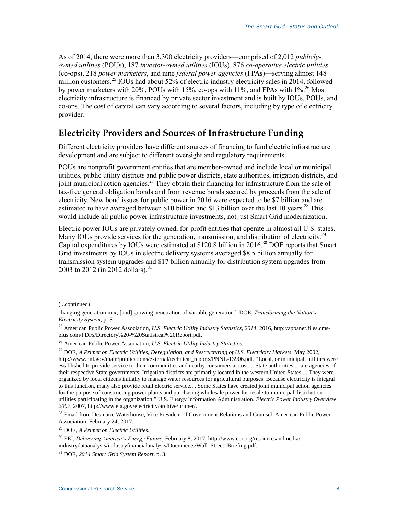As of 2014, there were more than 3,300 electricity providers—comprised of 2,012 *publiclyowned utilities* (POUs), 187 *investor-owned utilities* (IOUs), 876 *co-operative electric utilities* (co-ops), 218 *power marketers*, and nine *federal power agencies* (FPAs)—serving almost 148 million customers.<sup>25</sup> IOUs had about 52% of electric industry electricity sales in 2014, followed by power marketers with 20%, POUs with 15%, co-ops with 11%, and FPAs with 1%.<sup>26</sup> Most electricity infrastructure is financed by private sector investment and is built by IOUs, POUs, and co-ops. The cost of capital can vary according to several factors, including by type of electricity provider.

### **Electricity Providers and Sources of Infrastructure Funding**

Different electricity providers have different sources of financing to fund electric infrastructure development and are subject to different oversight and regulatory requirements.

POUs are nonprofit government entities that are member-owned and include local or municipal utilities, public utility districts and public power districts, state authorities, irrigation districts, and joint municipal action agencies.<sup>27</sup> They obtain their financing for infrastructure from the sale of tax-free general obligation bonds and from revenue bonds secured by proceeds from the sale of electricity. New bond issues for public power in 2016 were expected to be \$7 billion and are estimated to have averaged between \$10 billion and \$13 billion over the last 10 years.<sup>28</sup> This would include all public power infrastructure investments, not just Smart Grid modernization.

Electric power IOUs are privately owned, for-profit entities that operate in almost all U.S. states. Many IOUs provide services for the generation, transmission, and distribution of electricity.<sup>29</sup> Capital expenditures by IOUs were estimated at  $$120.8$  billion in 2016.<sup>30</sup> DOE reports that Smart Grid investments by IOUs in electric delivery systems averaged \$8.5 billion annually for transmission system upgrades and \$17 billion annually for distribution system upgrades from 2003 to 2012 (in 2012 dollars).<sup>31</sup>

l

<sup>(...</sup>continued)

changing generation mix; [and] growing penetration of variable generation." DOE, *Transforming the Nation's Electricity System*, p. S-1.

<sup>25</sup> American Public Power Association, *U.S. Electric Utility Industry Statistics, 2014*, 2016, http://appanet.files.cmsplus.com/PDFs/Directory%20-%20Statistical%20Report.pdf.

<sup>26</sup> American Public Power Association, *U.S. Electric Utility Industry Statistics*.

<sup>27</sup> DOE, *A Primer on Electric Utilities, Deregulation, and Restructuring of U.S. Electricity Markets*, May 2002, http://www.pnl.gov/main/publications/external/technical\_reports/PNNL-13906.pdf. "Local, or municipal, utilities were established to provide service to their communities and nearby consumers at cost.... State authorities ... are agencies of their respective State governments. Irrigation districts are primarily located in the western United States.... They were organized by local citizens initially to manage water resources for agricultural purposes. Because electricity is integral to this function, many also provide retail electric service.... Some States have created joint municipal action agencies for the purpose of constructing power plants and purchasing wholesale power for resale to municipal distribution utilities participating in the organization." U.S. Energy Information Administration, *Electric Power Industry Overview 2007*, 2007, http://www.eia.gov/electricity/archive/primer/.

<sup>&</sup>lt;sup>28</sup> Email from Desmarie Waterhouse, Vice President of Government Relations and Counsel, American Public Power Association, February 24, 2017.

<sup>29</sup> DOE, *A Primer on Electric Utilities*.

<sup>30</sup> EEI, *Delivering America's Energy Future*, February 8, 2017, http://www.eei.org/resourcesandmedia/ industrydataanalysis/industryfinancialanalysis/Documents/Wall\_Street\_Briefing.pdf.

<sup>31</sup> DOE, *2014 Smart Grid System Report*, p. 3.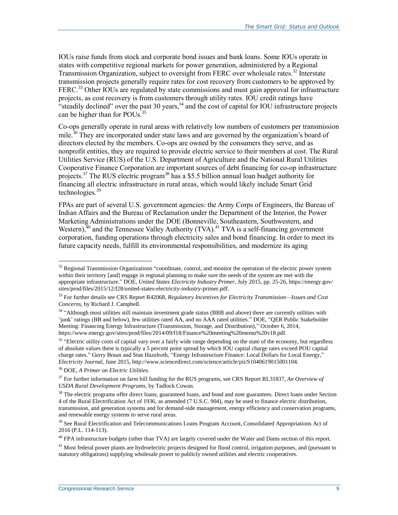IOUs raise funds from stock and corporate bond issues and bank loans. Some IOUs operate in states with competitive regional markets for power generation, administered by a Regional Transmission Organization, subject to oversight from FERC over wholesale rates.<sup>32</sup> Interstate transmission projects generally require rates for cost recovery from customers to be approved by FERC.<sup>33</sup> Other IOUs are regulated by state commissions and must gain approval for infrastructure projects, as cost recovery is from customers through utility rates. IOU credit ratings have "steadily declined" over the past 30 years,<sup>34</sup> and the cost of capital for IOU infrastructure projects can be higher than for POUs.<sup>35</sup>

Co-ops generally operate in rural areas with relatively low numbers of customers per transmission mile.<sup>36</sup> They are incorporated under state laws and are governed by the organization's board of directors elected by the members. Co-ops are owned by the consumers they serve, and as nonprofit entities, they are required to provide electric service to their members at cost. The Rural Utilities Service (RUS) of the U.S. Department of Agriculture and the National Rural Utilities Cooperative Finance Corporation are important sources of debt financing for co-op infrastructure projects.<sup>37</sup> The RUS electric program<sup>38</sup> has a \$5.5 billion annual loan budget authority for financing all electric infrastructure in rural areas, which would likely include Smart Grid technologies. 39

FPAs are part of several U.S. government agencies: the Army Corps of Engineers, the Bureau of Indian Affairs and the Bureau of Reclamation under the Department of the Interior, the Power Marketing Administrations under the DOE (Bonneville, Southeastern, Southwestern, and Western), $40$  and the Tennessee Valley Authority (TVA). $41$  TVA is a self-financing government corporation, funding operations through electricity sales and bond financing. In order to meet its future capacity needs, fulfill its environmental responsibilities, and modernize its aging

 $32$  Regional Transmission Organizations "coordinate, control, and monitor the operation of the electric power system within their territory [and] engage in regional planning to make sure the needs of the system are met with the appropriate infrastructure." DOE, *United States Electricity Industry Primer*, July 2015, pp. 25-26, https://energy.gov/ sites/prod/files/2015/12/f28/united-states-electricity-industry-primer.pdf.

<sup>33</sup> For further details see CRS Report R42068, *Regulatory Incentives for Electricity Transmission—Issues and Cost Concerns*, by Richard J. Campbell.

<sup>&</sup>lt;sup>34</sup> "Although most utilities still maintain investment grade status (BBB and above) there are currently utilities with 'junk' ratings (BB and below), few utilities rated AA, and no AAA rated utilities." DOE, "QER Public Stakeholder Meeting: Financing Energy Infrastructure (Transmission, Storage, and Distribution)," October 6, 2014, https://www.energy.gov/sites/prod/files/2014/09/f18/Finance%20meeting%20memo%20v18.pdf.

<sup>&</sup>lt;sup>35</sup> "Electric utility costs of capital vary over a fairly wide range depending on the state of the economy, but regardless of absolute values there is typically a 5 percent point spread by which IOU capital charge rates exceed POU capital charge rates." Gerry Braun and Stan Hazelroth, "Energy Infrastructure Finance: Local Dollars for Local Energy," *Electricity Journal*, June 2015, http://www.sciencedirect.com/science/article/pii/S1040619015001104.

<sup>36</sup> DOE, *A Primer on Electric Utilities*.

<sup>37</sup> For further information on farm bill funding for the RUS programs, see CRS Report RL31837, *An Overview of USDA Rural Development Programs*, by Tadlock Cowan.

<sup>&</sup>lt;sup>38</sup> The electric programs offer direct loans, guaranteed loans, and bond and note guarantees. Direct loans under Section 4 of the Rural Electrification Act of 1936, as amended (7 U.S.C. 904), may be used to finance electric distribution, transmission, and generation systems and for demand-side management, energy efficiency and conservation programs, and renewable energy systems to serve rural areas.

<sup>&</sup>lt;sup>39</sup> See Rural Electrification and Telecommunications Loans Program Account, Consolidated Appropriations Act of 2016 (P.L. 114-113).

 $^{40}$  FPA infrastructure budgets (other than TVA) are largely covered under the Water and Dams section of this report.

<sup>&</sup>lt;sup>41</sup> Most federal power plants are hydroelectric projects designed for flood control, irrigation purposes, and (pursuant to statutory obligations) supplying wholesale power to publicly owned utilities and electric cooperatives.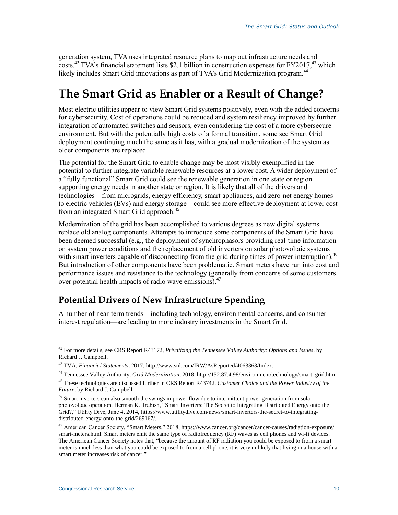generation system, TVA uses integrated resource plans to map out infrastructure needs and  $\csc^{42}$  TVA's financial statement lists \$2.1 billion in construction expenses for FY2017,<sup>43</sup> which likely includes Smart Grid innovations as part of TVA's Grid Modernization program.<sup>44</sup>

# **The Smart Grid as Enabler or a Result of Change?**

Most electric utilities appear to view Smart Grid systems positively, even with the added concerns for cybersecurity. Cost of operations could be reduced and system resiliency improved by further integration of automated switches and sensors, even considering the cost of a more cybersecure environment. But with the potentially high costs of a formal transition, some see Smart Grid deployment continuing much the same as it has, with a gradual modernization of the system as older components are replaced.

The potential for the Smart Grid to enable change may be most visibly exemplified in the potential to further integrate variable renewable resources at a lower cost. A wider deployment of a "fully functional" Smart Grid could see the renewable generation in one state or region supporting energy needs in another state or region. It is likely that all of the drivers and technologies—from microgrids, energy efficiency, smart appliances, and zero-net energy homes to electric vehicles (EVs) and energy storage—could see more effective deployment at lower cost from an integrated Smart Grid approach.<sup>45</sup>

Modernization of the grid has been accomplished to various degrees as new digital systems replace old analog components. Attempts to introduce some components of the Smart Grid have been deemed successful (e.g., the deployment of synchrophasors providing real-time information on system power conditions and the replacement of old inverters on solar photovoltaic systems with smart inverters capable of disconnecting from the grid during times of power interruption).<sup>46</sup> But introduction of other components have been problematic. Smart meters have run into cost and performance issues and resistance to the technology (generally from concerns of some customers over potential health impacts of radio wave emissions).<sup>47</sup>

### **Potential Drivers of New Infrastructure Spending**

A number of near-term trends—including technology, environmental concerns, and consumer interest regulation—are leading to more industry investments in the Smart Grid.

 $\overline{a}$ <sup>42</sup> For more details, see CRS Report R43172, *Privatizing the Tennessee Valley Authority: Options and Issues*, by Richard J. Campbell.

<sup>43</sup> TVA, *Financial Statements*, 2017, http://www.snl.com/IRW/AsReported/4063363/Index.

<sup>44</sup> Tennessee Valley Authority, *Grid Modernization*, 2018, http://152.87.4.98/environment/technology/smart\_grid.htm.

<sup>45</sup> These technologies are discussed further in CRS Report R43742, *Customer Choice and the Power Industry of the Future*, by Richard J. Campbell.

<sup>&</sup>lt;sup>46</sup> Smart inverters can also smooth the swings in power flow due to intermittent power generation from solar photovoltaic operation. Herman K. Trabish, "Smart Inverters: The Secret to Integrating Distributed Energy onto the Grid?," Utility Dive, June 4, 2014, https://www.utilitydive.com/news/smart-inverters-the-secret-to-integratingdistributed-energy-onto-the-grid/269167/.

<sup>47</sup> American Cancer Society, "Smart Meters," 2018, https://www.cancer.org/cancer/cancer-causes/radiation-exposure/ smart-meters.html. Smart meters emit the same type of radiofrequency (RF) waves as cell phones and wi-fi devices. The American Cancer Society notes that, "because the amount of RF radiation you could be exposed to from a smart meter is much less than what you could be exposed to from a cell phone, it is very unlikely that living in a house with a smart meter increases risk of cancer."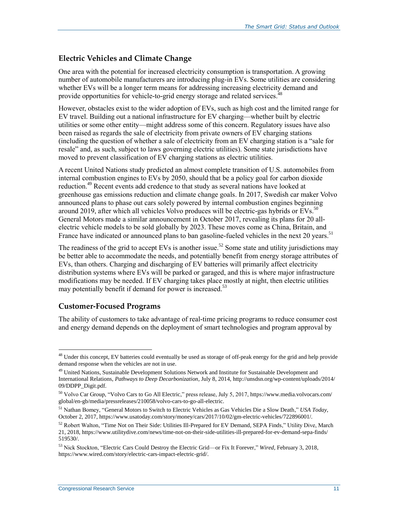#### **Electric Vehicles and Climate Change**

One area with the potential for increased electricity consumption is transportation. A growing number of automobile manufacturers are introducing plug-in EVs. Some utilities are considering whether EVs will be a longer term means for addressing increasing electricity demand and provide opportunities for vehicle-to-grid energy storage and related services.<sup>4</sup>

However, obstacles exist to the wider adoption of EVs, such as high cost and the limited range for EV travel. Building out a national infrastructure for EV charging—whether built by electric utilities or some other entity—might address some of this concern. Regulatory issues have also been raised as regards the sale of electricity from private owners of EV charging stations (including the question of whether a sale of electricity from an EV charging station is a "sale for resale" and, as such, subject to laws governing electric utilities). Some state jurisdictions have moved to prevent classification of EV charging stations as electric utilities.

A recent United Nations study predicted an almost complete transition of U.S. automobiles from internal combustion engines to EVs by 2050, should that be a policy goal for carbon dioxide reduction.<sup>49</sup> Recent events add credence to that study as several nations have looked at greenhouse gas emissions reduction and climate change goals. In 2017, Swedish car maker Volvo announced plans to phase out cars solely powered by internal combustion engines beginning around 2019, after which all vehicles Volvo produces will be electric-gas hybrids or EVs.<sup>50</sup> General Motors made a similar announcement in October 2017, revealing its plans for 20 allelectric vehicle models to be sold globally by 2023. These moves come as China, Britain, and France have indicated or announced plans to ban gasoline-fueled vehicles in the next 20 years.<sup>51</sup>

The readiness of the grid to accept EVs is another issue.<sup>52</sup> Some state and utility jurisdictions may be better able to accommodate the needs, and potentially benefit from energy storage attributes of EVs, than others. Charging and discharging of EV batteries will primarily affect electricity distribution systems where EVs will be parked or garaged, and this is where major infrastructure modifications may be needed. If EV charging takes place mostly at night, then electric utilities may potentially benefit if demand for power is increased.<sup>53</sup>

#### **Customer-Focused Programs**

 $\overline{a}$ 

The ability of customers to take advantage of real-time pricing programs to reduce consumer cost and energy demand depends on the deployment of smart technologies and program approval by

<sup>&</sup>lt;sup>48</sup> Under this concept, EV batteries could eventually be used as storage of off-peak energy for the grid and help provide demand response when the vehicles are not in use.

<sup>&</sup>lt;sup>49</sup> United Nations, Sustainable Development Solutions Network and Institute for Sustainable Development and International Relations, *Pathways to Deep Decarbonization*, July 8, 2014, http://unsdsn.org/wp-content/uploads/2014/ 09/DDPP\_Digit.pdf.

<sup>50</sup> Volvo Car Group, "Volvo Cars to Go All Electric," press release, July 5, 2017, https://www.media.volvocars.com/ global/en-gb/media/pressreleases/210058/volvo-cars-to-go-all-electric.

<sup>51</sup> Nathan Bomey, "General Motors to Switch to Electric Vehicles as Gas Vehicles Die a Slow Death," *USA Today*, October 2, 2017, https://www.usatoday.com/story/money/cars/2017/10/02/gm-electric-vehicles/722896001/.

<sup>&</sup>lt;sup>52</sup> Robert Walton, "Time Not on Their Side: Utilities Ill-Prepared for EV Demand, SEPA Finds," Utility Dive, March 21, 2018, https://www.utilitydive.com/news/time-not-on-their-side-utilities-ill-prepared-for-ev-demand-sepa-finds/ 519530/.

<sup>53</sup> Nick Stockton, "Electric Cars Could Destroy the Electric Grid—or Fix It Forever," *Wired*, February 3, 2018, https://www.wired.com/story/electric-cars-impact-electric-grid/.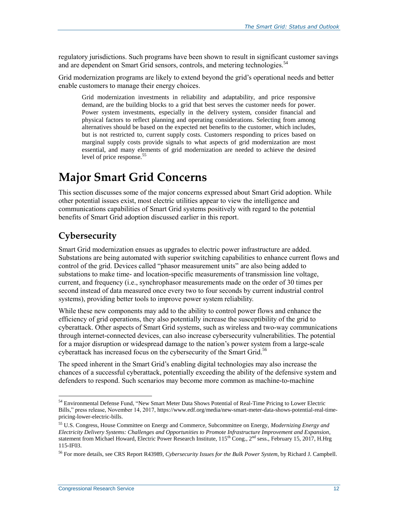regulatory jurisdictions. Such programs have been shown to result in significant customer savings and are dependent on Smart Grid sensors, controls, and metering technologies.<sup>54</sup>

Grid modernization programs are likely to extend beyond the grid's operational needs and better enable customers to manage their energy choices.

Grid modernization investments in reliability and adaptability, and price responsive demand, are the building blocks to a grid that best serves the customer needs for power. Power system investments, especially in the delivery system, consider financial and physical factors to reflect planning and operating considerations. Selecting from among alternatives should be based on the expected net benefits to the customer, which includes, but is not restricted to, current supply costs. Customers responding to prices based on marginal supply costs provide signals to what aspects of grid modernization are most essential, and many elements of grid modernization are needed to achieve the desired level of price response.<sup>55</sup>

# **Major Smart Grid Concerns**

This section discusses some of the major concerns expressed about Smart Grid adoption. While other potential issues exist, most electric utilities appear to view the intelligence and communications capabilities of Smart Grid systems positively with regard to the potential benefits of Smart Grid adoption discussed earlier in this report.

### **Cybersecurity**

Smart Grid modernization ensues as upgrades to electric power infrastructure are added. Substations are being automated with superior switching capabilities to enhance current flows and control of the grid. Devices called "phasor measurement units" are also being added to substations to make time- and location-specific measurements of transmission line voltage, current, and frequency (i.e., synchrophasor measurements made on the order of 30 times per second instead of data measured once every two to four seconds by current industrial control systems), providing better tools to improve power system reliability.

While these new components may add to the ability to control power flows and enhance the efficiency of grid operations, they also potentially increase the susceptibility of the grid to cyberattack. Other aspects of Smart Grid systems, such as wireless and two-way communications through internet-connected devices, can also increase cybersecurity vulnerabilities. The potential for a major disruption or widespread damage to the nation's power system from a large-scale cyberattack has increased focus on the cybersecurity of the Smart Grid.<sup>56</sup>

The speed inherent in the Smart Grid's enabling digital technologies may also increase the chances of a successful cyberattack, potentially exceeding the ability of the defensive system and defenders to respond. Such scenarios may become more common as machine-to-machine

<sup>54</sup> Environmental Defense Fund, "New Smart Meter Data Shows Potential of Real-Time Pricing to Lower Electric Bills," press release, November 14, 2017, https://www.edf.org/media/new-smart-meter-data-shows-potential-real-timepricing-lower-electric-bills.

<sup>55</sup> U.S. Congress, House Committee on Energy and Commerce, Subcommittee on Energy, *Modernizing Energy and Electricity Delivery Systems: Challenges and Opportunities to Promote Infrastructure Improvement and Expansion*, statement from Michael Howard, Electric Power Research Institute, 115<sup>th</sup> Cong., 2<sup>nd</sup> sess., February 15, 2017, H.Hrg 115-IF03.

<sup>56</sup> For more details, see CRS Report R43989, *Cybersecurity Issues for the Bulk Power System*, by Richard J. Campbell.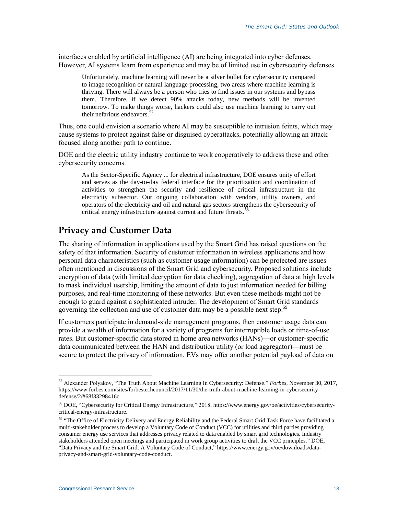interfaces enabled by artificial intelligence (AI) are being integrated into cyber defenses. However, AI systems learn from experience and may be of limited use in cybersecurity defenses.

Unfortunately, machine learning will never be a silver bullet for cybersecurity compared to image recognition or natural language processing, two areas where machine learning is thriving. There will always be a person who tries to find issues in our systems and bypass them. Therefore, if we detect 90% attacks today, new methods will be invented tomorrow. To make things worse, hackers could also use machine learning to carry out their nefarious endeavors.<sup>5</sup>

Thus, one could envision a scenario where AI may be susceptible to intrusion feints, which may cause systems to protect against false or disguised cyberattacks, potentially allowing an attack focused along another path to continue.

DOE and the electric utility industry continue to work cooperatively to address these and other cybersecurity concerns.

As the Sector-Specific Agency ... for electrical infrastructure, DOE ensures unity of effort and serves as the day-to-day federal interface for the prioritization and coordination of activities to strengthen the security and resilience of critical infrastructure in the electricity subsector. Our ongoing collaboration with vendors, utility owners, and operators of the electricity and oil and natural gas sectors strengthens the cybersecurity of critical energy infrastructure against current and future threats.<sup>5</sup>

### **Privacy and Customer Data**

The sharing of information in applications used by the Smart Grid has raised questions on the safety of that information. Security of customer information in wireless applications and how personal data characteristics (such as customer usage information) can be protected are issues often mentioned in discussions of the Smart Grid and cybersecurity. Proposed solutions include encryption of data (with limited decryption for data checking), aggregation of data at high levels to mask individual usership, limiting the amount of data to just information needed for billing purposes, and real-time monitoring of these networks. But even these methods might not be enough to guard against a sophisticated intruder. The development of Smart Grid standards governing the collection and use of customer data may be a possible next step.<sup>59</sup>

If customers participate in demand-side management programs, then customer usage data can provide a wealth of information for a variety of programs for interruptible loads or time-of-use rates. But customer-specific data stored in home area networks (HANs)—or customer-specific data communicated between the HAN and distribution utility (or load aggregator)—must be secure to protect the privacy of information. EVs may offer another potential payload of data on

<sup>57</sup> Alexander Polyakov, "The Truth About Machine Learning In Cybersecurity: Defense," *Forbes*, November 30, 2017, https://www.forbes.com/sites/forbestechcouncil/2017/11/30/the-truth-about-machine-learning-in-cybersecuritydefense/2/#68f33298416c.

<sup>58</sup> DOE, "Cybersecurity for Critical Energy Infrastructure," 2018, https://www.energy.gov/oe/activities/cybersecuritycritical-energy-infrastructure.

<sup>&</sup>lt;sup>59</sup> "The Office of Electricity Delivery and Energy Reliability and the Federal Smart Grid Task Force have facilitated a multi-stakeholder process to develop a Voluntary Code of Conduct (VCC) for utilities and third parties providing consumer energy use services that addresses privacy related to data enabled by smart grid technologies. Industry stakeholders attended open meetings and participated in work group activities to draft the VCC principles." DOE, "Data Privacy and the Smart Grid: A Voluntary Code of Conduct," https://www.energy.gov/oe/downloads/dataprivacy-and-smart-grid-voluntary-code-conduct.